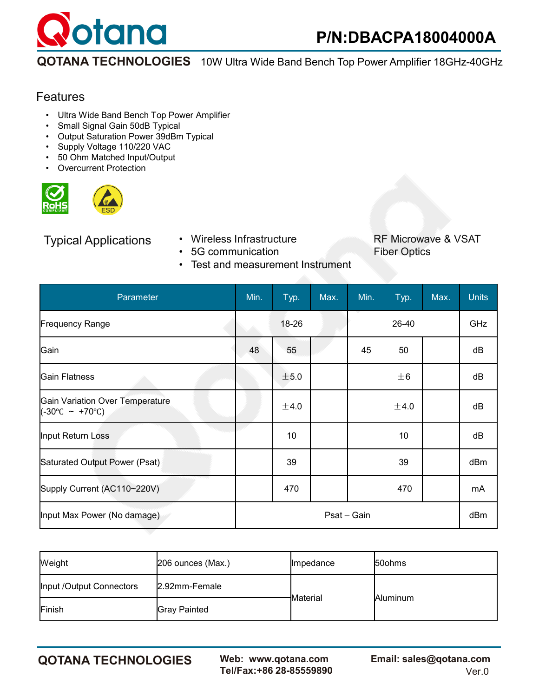

### Features

- Ultra Wide Band Bench Top Power Amplifier
- Small Signal Gain 50dB Typical
- Output Saturation Power 39dBm Typical
- Supply Voltage 110/220 VAC
- 50 Ohm Matched Input/Output
- **Overcurrent Protection**





- 
- 5G communication
- Test and measurement Instrument

Typical Applications • Wireless Infrastructure RF Microwave & VSAT<br>• 5G communication • Fiber Optics

| Parameter                                                               | Min. | Typ.            | Max.        | Min. | Typ.    | Max. | <b>Units</b> |
|-------------------------------------------------------------------------|------|-----------------|-------------|------|---------|------|--------------|
| <b>Frequency Range</b>                                                  |      | 18-26           |             |      | 26-40   |      | GHz          |
| Gain                                                                    | 48   | 55              |             | 45   | 50      |      | dB           |
| <b>Gain Flatness</b>                                                    |      | ±5.0            |             |      | $\pm 6$ |      | dB           |
| Gain Variation Over Temperature<br>$(-30^{\circ}$ C ~ +70 $^{\circ}$ C) |      | ±4.0            |             |      | ±4.0    |      | dB           |
| Input Return Loss                                                       |      | 10 <sup>°</sup> |             |      | 10      |      | dB           |
| Saturated Output Power (Psat)                                           |      | 39              |             |      | 39      |      | dBm          |
| Supply Current (AC110~220V)                                             |      | 470             |             |      | 470     |      | mA           |
| Input Max Power (No damage)                                             |      |                 | Psat - Gain |      |         |      | dBm          |

| Weight                   | $ 206$ ounces (Max.) | <b>Impedance</b>      | <b>50ohms</b> |  |
|--------------------------|----------------------|-----------------------|---------------|--|
| Input /Output Connectors | 2.92mm-Female        |                       | Aluminum      |  |
| Finish                   | <b>Gray Painted</b>  | <del>I</del> Material |               |  |

**QOTANA TECHNOLOGIES Web: www.qotana.com Email: sales@qotana.com**  Tel/Fax:+86 28-85559890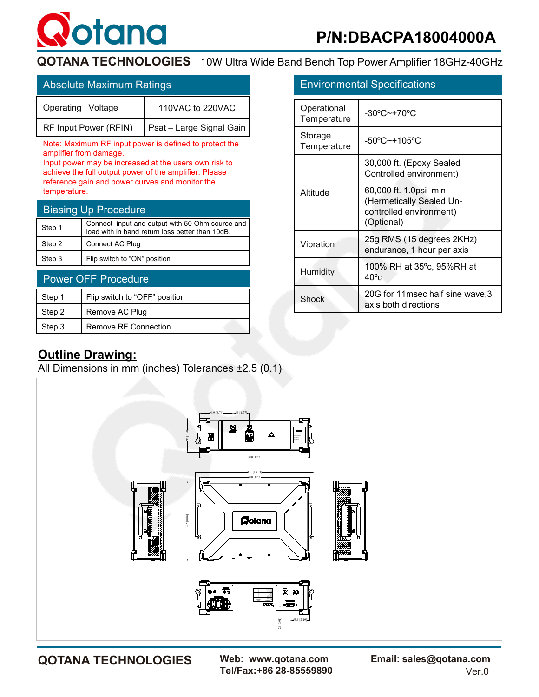

| Absolute Maximum Ratings              |                          |                            | <b>Environmental Specifications</b> |  |
|---------------------------------------|--------------------------|----------------------------|-------------------------------------|--|
| 110VAC to 220VAC<br>Operating Voltage |                          | Operational<br>Temperature | -30°C~+70°C                         |  |
| <b>RF Input Power (RFIN)</b>          | Psat – Large Signal Gain |                            |                                     |  |
|                                       |                          |                            |                                     |  |

Note: Maximum RF input power is defined to protect the amplifier from damage.

Input power may be increased at the users own risk to achieve the full output power of the amplifier. Please reference gain and power curves and monitor the temperature.

| <b>Biasing Up Procedure</b>            |                                                                                                    |  |  |  |  |  |
|----------------------------------------|----------------------------------------------------------------------------------------------------|--|--|--|--|--|
| Step 1                                 | Connect input and output with 50 Ohm source and<br>load with in band return loss better than 10dB. |  |  |  |  |  |
| Step 2                                 | Connect AC Plug                                                                                    |  |  |  |  |  |
| Flip switch to "ON" position<br>Step 3 |                                                                                                    |  |  |  |  |  |
| <b>Power OFF Procedure</b>             |                                                                                                    |  |  |  |  |  |

| Step 1 | Flip switch to "OFF" position |  |
|--------|-------------------------------|--|
| Step 2 | Remove AC Plug                |  |
| Step 3 | <b>Remove RF Connection</b>   |  |

|                            | <b>Environmental Specifications</b>                                                        |  |  |  |  |  |  |  |
|----------------------------|--------------------------------------------------------------------------------------------|--|--|--|--|--|--|--|
| Operational<br>Temperature | $-30^{\circ}$ C $-+70^{\circ}$ C                                                           |  |  |  |  |  |  |  |
| Storage<br>Temperature     | -50°C~+105°C                                                                               |  |  |  |  |  |  |  |
|                            | 30,000 ft. (Epoxy Sealed<br>Controlled environment)                                        |  |  |  |  |  |  |  |
| Altitude                   | 60,000 ft. 1.0psi min<br>(Hermetically Sealed Un-<br>controlled environment)<br>(Optional) |  |  |  |  |  |  |  |
| Vibration                  | 25g RMS (15 degrees 2KHz)<br>endurance, 1 hour per axis                                    |  |  |  |  |  |  |  |
| Humidity                   | 100% RH at 35°c, 95%RH at<br>$40^{\circ}$ c                                                |  |  |  |  |  |  |  |
| Shock                      | 20G for 11msec half sine wave, 3<br>axis both directions                                   |  |  |  |  |  |  |  |

### **Outline Drawing:**

All Dimensions in mm (inches) Tolerances ±2.5 (0.1)



Tel/Fax:+86 28-85559890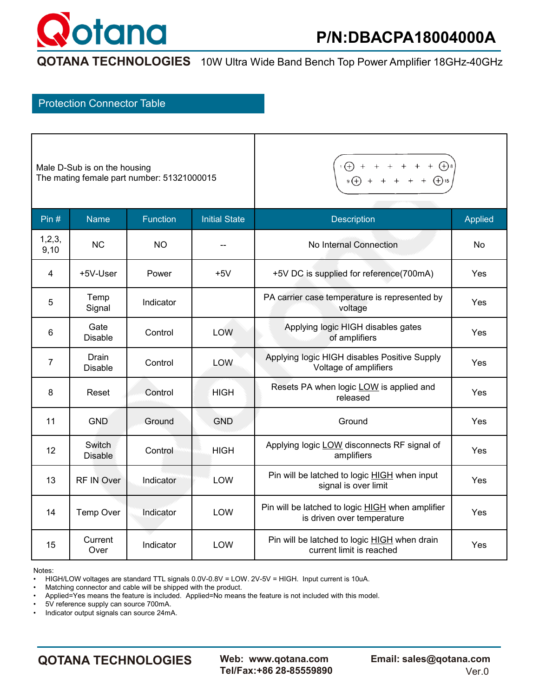# otana

**QOTANA TECHNOLOGIES** 10W Ultra Wide Band Bench Top Power Amplifier 18GHz-40GHz

### Protection Connector Table

| Male D-Sub is on the housing               |
|--------------------------------------------|
| The mating female part number: 51321000015 |

 $\cdot$   $\bigoplus$  + + + + +  $\bigoplus$   $\cdot$ <br> $\cdot$   $\bigoplus$  + + + + +  $\bigoplus$   $\cdot$  $+ \bigoplus$  8

| Pin $#$          | <b>Name</b>              | <b>Function</b> | <b>Initial State</b> | <b>Description</b>                                                                    | <b>Applied</b> |  |  |  |
|------------------|--------------------------|-----------------|----------------------|---------------------------------------------------------------------------------------|----------------|--|--|--|
| 1, 2, 3,<br>9,10 | <b>NC</b>                | <b>NO</b>       |                      | No Internal Connection                                                                | <b>No</b>      |  |  |  |
| 4                | +5V-User                 | Power           | $+5V$                | +5V DC is supplied for reference(700mA)                                               | Yes            |  |  |  |
| 5                | Temp<br>Signal           | Indicator       |                      | PA carrier case temperature is represented by<br>voltage                              |                |  |  |  |
| 6                | Gate<br><b>Disable</b>   | Control         | LOW                  | Applying logic HIGH disables gates<br>of amplifiers                                   |                |  |  |  |
| $\overline{7}$   | Drain<br><b>Disable</b>  | Control         | LOW                  | Applying logic HIGH disables Positive Supply<br>Voltage of amplifiers                 | Yes            |  |  |  |
| 8                | Reset                    | Control         | <b>HIGH</b>          | Resets PA when logic LOW is applied and<br>released                                   |                |  |  |  |
| 11               | <b>GND</b>               | Ground          | <b>GND</b>           | Ground                                                                                | Yes            |  |  |  |
| 12               | Switch<br><b>Disable</b> | Control         | <b>HIGH</b>          | Applying logic LOW disconnects RF signal of<br>amplifiers                             | Yes            |  |  |  |
| 13               | RF IN Over               | Indicator       | LOW                  | Pin will be latched to logic <b>HIGH</b> when input<br>signal is over limit           |                |  |  |  |
| 14               | Temp Over                | Indicator       | <b>LOW</b>           | Pin will be latched to logic <b>HIGH</b> when amplifier<br>is driven over temperature | Yes            |  |  |  |
| 15               | Current<br>Over          | Indicator       | LOW                  | Pin will be latched to logic <b>HIGH</b> when drain<br>current limit is reached       | Yes            |  |  |  |

Notes:

• HIGH/LOW voltages are standard TTL signals 0.0V-0.8V = LOW. 2V-5V = HIGH. Input current is 10uA.

• Matching connector and cable will be shipped with the product.

• Applied=Yes means the feature is included. Applied=No means the feature is not included with this model.<br>• 5V reference supply can source  $700 \text{mA}$ 

• 5V reference supply can source 700mA.

• Indicator output signals can source 24mA.

**QOTANA TECHNOLOGIES Web: www.qotana.com Email: sales@qotana.com**  Tel/Fax:+86 28-85559890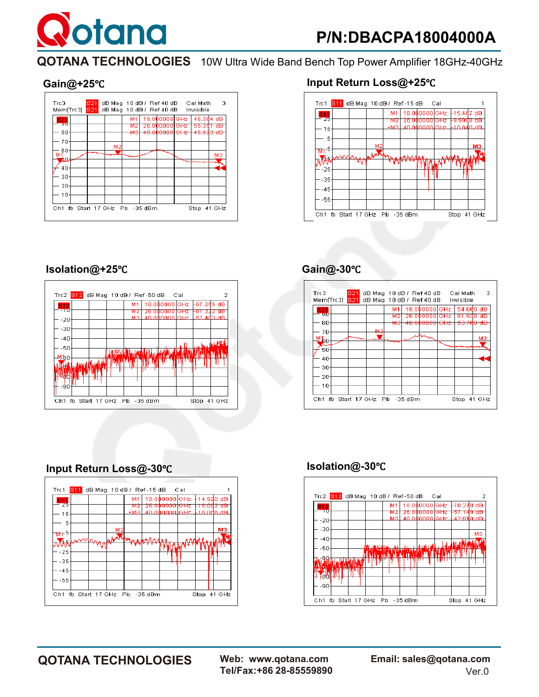# **P/N:DBACPA18004000A**

**QOTANA TECHNOLOGIES** 10W Ultra Wide Band Bench Top Power Amplifier 18GHz-40GHz



otana

#### **Gain@+25**℃ **Input Return Loss@+25**℃



#### **Isolation@+25**℃

|  | M1  |     |                                                     |                                        |
|--|-----|-----|-----------------------------------------------------|----------------------------------------|
|  | M 2 |     |                                                     | 77 QB                                  |
|  |     |     |                                                     |                                        |
|  |     |     |                                                     |                                        |
|  |     |     |                                                     |                                        |
|  |     |     |                                                     | <b>KIMA</b>                            |
|  |     |     |                                                     |                                        |
|  |     |     |                                                     |                                        |
|  |     |     |                                                     |                                        |
|  |     |     |                                                     |                                        |
|  |     |     |                                                     |                                        |
|  |     | M31 | Trc2 S12 dBMag 10 dB/Ref-50 dB Cal<br>26.0000001GHz | F61.3.<br>$40.000000$ GHz $+52.483$ dB |

## **Gain@-30**℃

| Trc3<br>Mem[Trc3]                      | <b>S21</b><br><b>S21</b>   | dB Mag 10 dB / Ref 40 dB Cal Math<br>dB Mag 10 dB / Ref 40 dB Invisible |                |                                                            |                                                | - 3    |
|----------------------------------------|----------------------------|-------------------------------------------------------------------------|----------------|------------------------------------------------------------|------------------------------------------------|--------|
| 821<br>90<br>80                        |                            | MS                                                                      | M1<br>M2<br>мэ | 18.000000 GHz<br>26.0000001GHz<br><del>40.000000lCHz</del> | 54.060 dB<br>61.938 dB<br><del>53.700 dD</del> |        |
| 70<br>$\mathbf{M}_{\mathbf{50}}$<br>50 |                            |                                                                         |                |                                                            |                                                | мз     |
| 40<br>30<br>20                         |                            |                                                                         |                |                                                            |                                                |        |
| 10<br>Ch1                              | fb Start 17 GHz Pb -35 dBm |                                                                         |                |                                                            | Stop                                           | 41 GHz |

### **Input Return Loss@-30**℃



#### **Isolation@-30**℃



Tel/Fax:+86 28-85559890

**QOTANA TECHNOLOGIES Web: www.qotana.com Email: sales@qotana.com**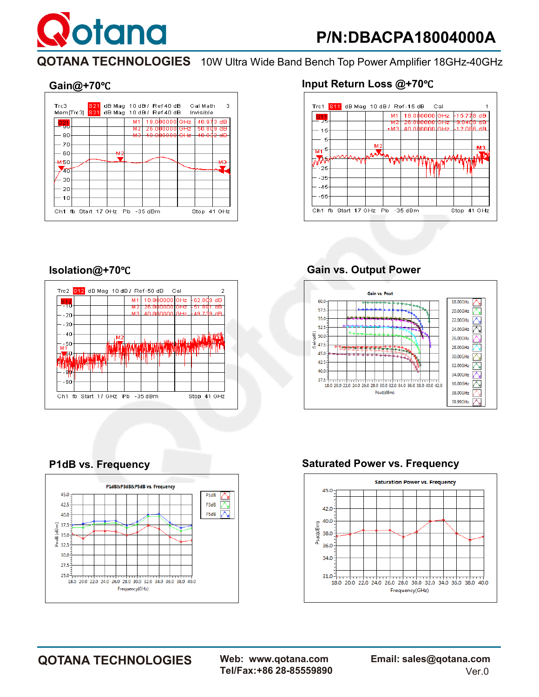**otana** 



### **Gain@+70**℃ **Input Return Loss @+70**℃







### **Isolation@+70**℃ **Gain vs. Output Power**



### **P1dB vs. Frequency Saturated Power vs. Frequency**



**QOTANA TECHNOLOGIES Web: www.qotana.com Email: sales@qotana.com**  Tel/Fax:+86 28-85559890